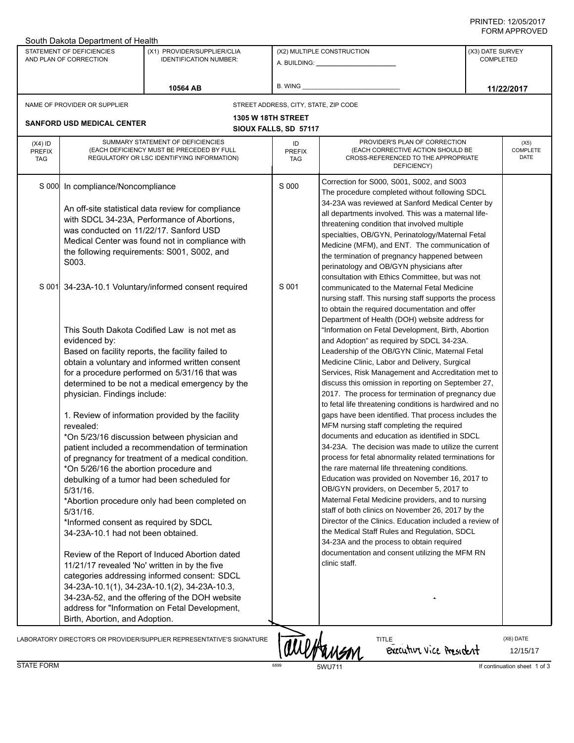## PRINTED: 12/05/2017 FORM APPROVED

| South Dakota Department of Health                   |                                                                                                                                                                                                                                                                                                                                                                                                                                                                                                                                                                                                                                                                                                                                                                                                                                                                                                                                                                                                                                                                                                                                                                                                                                                                                                                                                                                                                                                                                          |                                                                       |                                                                                                                                                                                                                                                                                                                                                                                                                                                                                                                      |                                                                                                                                                                                                                                                                                                                                                                                                                                                                                                                                                                                                                                                                                                                                                                                                                                                                                                                                                                                                                                                                                                                                                                                                                                                                                                                                                                                                              |                                      |                       |  |  |
|-----------------------------------------------------|------------------------------------------------------------------------------------------------------------------------------------------------------------------------------------------------------------------------------------------------------------------------------------------------------------------------------------------------------------------------------------------------------------------------------------------------------------------------------------------------------------------------------------------------------------------------------------------------------------------------------------------------------------------------------------------------------------------------------------------------------------------------------------------------------------------------------------------------------------------------------------------------------------------------------------------------------------------------------------------------------------------------------------------------------------------------------------------------------------------------------------------------------------------------------------------------------------------------------------------------------------------------------------------------------------------------------------------------------------------------------------------------------------------------------------------------------------------------------------------|-----------------------------------------------------------------------|----------------------------------------------------------------------------------------------------------------------------------------------------------------------------------------------------------------------------------------------------------------------------------------------------------------------------------------------------------------------------------------------------------------------------------------------------------------------------------------------------------------------|--------------------------------------------------------------------------------------------------------------------------------------------------------------------------------------------------------------------------------------------------------------------------------------------------------------------------------------------------------------------------------------------------------------------------------------------------------------------------------------------------------------------------------------------------------------------------------------------------------------------------------------------------------------------------------------------------------------------------------------------------------------------------------------------------------------------------------------------------------------------------------------------------------------------------------------------------------------------------------------------------------------------------------------------------------------------------------------------------------------------------------------------------------------------------------------------------------------------------------------------------------------------------------------------------------------------------------------------------------------------------------------------------------------|--------------------------------------|-----------------------|--|--|
| STATEMENT OF DEFICIENCIES<br>AND PLAN OF CORRECTION |                                                                                                                                                                                                                                                                                                                                                                                                                                                                                                                                                                                                                                                                                                                                                                                                                                                                                                                                                                                                                                                                                                                                                                                                                                                                                                                                                                                                                                                                                          | (X1) PROVIDER/SUPPLIER/CLIA<br><b>IDENTIFICATION NUMBER:</b>          | (X2) MULTIPLE CONSTRUCTION<br>A. BUILDING: A. BUILDING:                                                                                                                                                                                                                                                                                                                                                                                                                                                              |                                                                                                                                                                                                                                                                                                                                                                                                                                                                                                                                                                                                                                                                                                                                                                                                                                                                                                                                                                                                                                                                                                                                                                                                                                                                                                                                                                                                              | (X3) DATE SURVEY<br><b>COMPLETED</b> |                       |  |  |
|                                                     | B. WING<br>10564 AB                                                                                                                                                                                                                                                                                                                                                                                                                                                                                                                                                                                                                                                                                                                                                                                                                                                                                                                                                                                                                                                                                                                                                                                                                                                                                                                                                                                                                                                                      |                                                                       | 11/22/2017                                                                                                                                                                                                                                                                                                                                                                                                                                                                                                           |                                                                                                                                                                                                                                                                                                                                                                                                                                                                                                                                                                                                                                                                                                                                                                                                                                                                                                                                                                                                                                                                                                                                                                                                                                                                                                                                                                                                              |                                      |                       |  |  |
|                                                     | NAME OF PROVIDER OR SUPPLIER                                                                                                                                                                                                                                                                                                                                                                                                                                                                                                                                                                                                                                                                                                                                                                                                                                                                                                                                                                                                                                                                                                                                                                                                                                                                                                                                                                                                                                                             |                                                                       |                                                                                                                                                                                                                                                                                                                                                                                                                                                                                                                      | STREET ADDRESS, CITY, STATE, ZIP CODE                                                                                                                                                                                                                                                                                                                                                                                                                                                                                                                                                                                                                                                                                                                                                                                                                                                                                                                                                                                                                                                                                                                                                                                                                                                                                                                                                                        |                                      |                       |  |  |
|                                                     | <b>1305 W 18TH STREET</b><br><b>SANFORD USD MEDICAL CENTER</b><br>SIOUX FALLS, SD 57117                                                                                                                                                                                                                                                                                                                                                                                                                                                                                                                                                                                                                                                                                                                                                                                                                                                                                                                                                                                                                                                                                                                                                                                                                                                                                                                                                                                                  |                                                                       |                                                                                                                                                                                                                                                                                                                                                                                                                                                                                                                      |                                                                                                                                                                                                                                                                                                                                                                                                                                                                                                                                                                                                                                                                                                                                                                                                                                                                                                                                                                                                                                                                                                                                                                                                                                                                                                                                                                                                              |                                      |                       |  |  |
| $(X4)$ ID<br><b>PREFIX</b><br><b>TAG</b>            | SUMMARY STATEMENT OF DEFICIENCIES<br>(EACH DEFICIENCY MUST BE PRECEDED BY FULL<br>REGULATORY OR LSC IDENTIFYING INFORMATION)                                                                                                                                                                                                                                                                                                                                                                                                                                                                                                                                                                                                                                                                                                                                                                                                                                                                                                                                                                                                                                                                                                                                                                                                                                                                                                                                                             |                                                                       | ID<br><b>PREFIX</b><br><b>TAG</b>                                                                                                                                                                                                                                                                                                                                                                                                                                                                                    | PROVIDER'S PLAN OF CORRECTION<br>(EACH CORRECTIVE ACTION SHOULD BE<br>CROSS-REFERENCED TO THE APPROPRIATE<br>DEFICIENCY)                                                                                                                                                                                                                                                                                                                                                                                                                                                                                                                                                                                                                                                                                                                                                                                                                                                                                                                                                                                                                                                                                                                                                                                                                                                                                     | (X5)<br>COMPLETE<br>DATE             |                       |  |  |
| S 000                                               | In compliance/Noncompliance<br>An off-site statistical data review for compliance<br>with SDCL 34-23A, Performance of Abortions,<br>was conducted on 11/22/17. Sanford USD<br>Medical Center was found not in compliance with<br>the following requirements: S001, S002, and<br>S003.<br>S 001 34-23A-10.1 Voluntary/informed consent required<br>This South Dakota Codified Law is not met as<br>evidenced by:<br>Based on facility reports, the facility failed to<br>obtain a voluntary and informed written consent<br>for a procedure performed on 5/31/16 that was<br>determined to be not a medical emergency by the<br>physician. Findings include:<br>1. Review of information provided by the facility<br>revealed:<br>*On 5/23/16 discussion between physician and<br>patient included a recommendation of termination<br>of pregnancy for treatment of a medical condition.<br>*On 5/26/16 the abortion procedure and<br>debulking of a tumor had been scheduled for<br>$5/31/16$ .<br>*Abortion procedure only had been completed on<br>$5/31/16$ .<br>*Informed consent as required by SDCL<br>34-23A-10.1 had not been obtained.<br>Review of the Report of Induced Abortion dated<br>11/21/17 revealed 'No' written in by the five<br>categories addressing informed consent: SDCL<br>34-23A-10.1(1), 34-23A-10.1(2), 34-23A-10.3,<br>34-23A-52, and the offering of the DOH website<br>address for "Information on Fetal Development,<br>Birth, Abortion, and Adoption. |                                                                       | Correction for S000, S001, S002, and S003<br>S 000<br>The procedure completed without following SDCL<br>34-23A was reviewed at Sanford Medical Center by<br>all departments involved. This was a maternal life-<br>threatening condition that involved multiple<br>specialties, OB/GYN, Perinatology/Maternal Fetal<br>Medicine (MFM), and ENT. The communication of<br>the termination of pregnancy happened between<br>perinatology and OB/GYN physicians after<br>consultation with Ethics Committee, but was not |                                                                                                                                                                                                                                                                                                                                                                                                                                                                                                                                                                                                                                                                                                                                                                                                                                                                                                                                                                                                                                                                                                                                                                                                                                                                                                                                                                                                              |                                      |                       |  |  |
|                                                     |                                                                                                                                                                                                                                                                                                                                                                                                                                                                                                                                                                                                                                                                                                                                                                                                                                                                                                                                                                                                                                                                                                                                                                                                                                                                                                                                                                                                                                                                                          |                                                                       | S 001                                                                                                                                                                                                                                                                                                                                                                                                                                                                                                                | communicated to the Maternal Fetal Medicine<br>nursing staff. This nursing staff supports the process<br>to obtain the required documentation and offer<br>Department of Health (DOH) website address for<br>"Information on Fetal Development, Birth, Abortion<br>and Adoption" as required by SDCL 34-23A.<br>Leadership of the OB/GYN Clinic, Maternal Fetal<br>Medicine Clinic, Labor and Delivery, Surgical<br>Services, Risk Management and Accreditation met to<br>discuss this omission in reporting on September 27,<br>2017. The process for termination of pregnancy due<br>to fetal life threatening conditions is hardwired and no<br>gaps have been identified. That process includes the<br>MFM nursing staff completing the required<br>documents and education as identified in SDCL<br>34-23A. The decision was made to utilize the current<br>process for fetal abnormality related terminations for<br>the rare maternal life threatening conditions.<br>Education was provided on November 16, 2017 to<br>OB/GYN providers, on December 5, 2017 to<br>Maternal Fetal Medicine providers, and to nursing<br>staff of both clinics on November 26, 2017 by the<br>Director of the Clinics. Education included a review of<br>the Medical Staff Rules and Regulation, SDCL<br>34-23A and the process to obtain required<br>documentation and consent utilizing the MFM RN<br>clinic staff. |                                      |                       |  |  |
|                                                     |                                                                                                                                                                                                                                                                                                                                                                                                                                                                                                                                                                                                                                                                                                                                                                                                                                                                                                                                                                                                                                                                                                                                                                                                                                                                                                                                                                                                                                                                                          | LABORATORY DIRECTOR'S OR PROVIDER/SUPPLIER REPRESENTATIVE'S SIGNATURE |                                                                                                                                                                                                                                                                                                                                                                                                                                                                                                                      | aulHanson<br><b>TITLE</b><br>Executive vice President                                                                                                                                                                                                                                                                                                                                                                                                                                                                                                                                                                                                                                                                                                                                                                                                                                                                                                                                                                                                                                                                                                                                                                                                                                                                                                                                                        |                                      | (X6) DATE<br>12/15/17 |  |  |

STATE FORM **FORM** 6899 6899 5WU711 **If continuation sheet 1 of 3**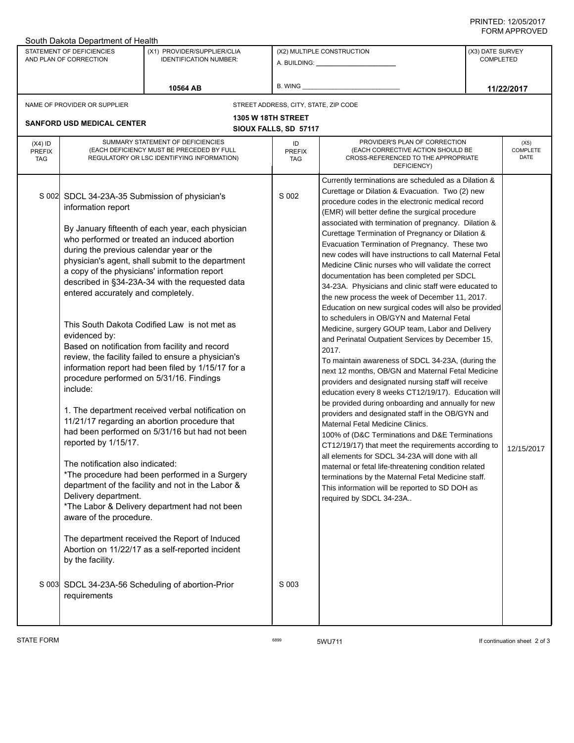## PRINTED: 12/05/2017 FORM APPROVED

| South Dakota Department of Health                   |                                                                                                                                                                                                                                                                                                                                        |                                                                                                                                                                                                                                                                                                                                                                                                                                                                                                                                                                                                                                                                                                                                                                                                                                                                                                                                                                                                |                                       |                                                                                                                                                                                                                                                                                                                                                                                                                                                                                                                                                                                                                                                                                                                                                                                                                                                                                                                                                                                                                                                                                                                                                                                                                                                                                                                                                                                                                                                                                                                                                                                                             |                                      |  |  |  |
|-----------------------------------------------------|----------------------------------------------------------------------------------------------------------------------------------------------------------------------------------------------------------------------------------------------------------------------------------------------------------------------------------------|------------------------------------------------------------------------------------------------------------------------------------------------------------------------------------------------------------------------------------------------------------------------------------------------------------------------------------------------------------------------------------------------------------------------------------------------------------------------------------------------------------------------------------------------------------------------------------------------------------------------------------------------------------------------------------------------------------------------------------------------------------------------------------------------------------------------------------------------------------------------------------------------------------------------------------------------------------------------------------------------|---------------------------------------|-------------------------------------------------------------------------------------------------------------------------------------------------------------------------------------------------------------------------------------------------------------------------------------------------------------------------------------------------------------------------------------------------------------------------------------------------------------------------------------------------------------------------------------------------------------------------------------------------------------------------------------------------------------------------------------------------------------------------------------------------------------------------------------------------------------------------------------------------------------------------------------------------------------------------------------------------------------------------------------------------------------------------------------------------------------------------------------------------------------------------------------------------------------------------------------------------------------------------------------------------------------------------------------------------------------------------------------------------------------------------------------------------------------------------------------------------------------------------------------------------------------------------------------------------------------------------------------------------------------|--------------------------------------|--|--|--|
| STATEMENT OF DEFICIENCIES<br>AND PLAN OF CORRECTION |                                                                                                                                                                                                                                                                                                                                        | (X1) PROVIDER/SUPPLIER/CLIA<br><b>IDENTIFICATION NUMBER:</b>                                                                                                                                                                                                                                                                                                                                                                                                                                                                                                                                                                                                                                                                                                                                                                                                                                                                                                                                   | (X2) MULTIPLE CONSTRUCTION            |                                                                                                                                                                                                                                                                                                                                                                                                                                                                                                                                                                                                                                                                                                                                                                                                                                                                                                                                                                                                                                                                                                                                                                                                                                                                                                                                                                                                                                                                                                                                                                                                             | (X3) DATE SURVEY<br><b>COMPLETED</b> |  |  |  |
|                                                     |                                                                                                                                                                                                                                                                                                                                        | 10564 AB                                                                                                                                                                                                                                                                                                                                                                                                                                                                                                                                                                                                                                                                                                                                                                                                                                                                                                                                                                                       | B. WING                               |                                                                                                                                                                                                                                                                                                                                                                                                                                                                                                                                                                                                                                                                                                                                                                                                                                                                                                                                                                                                                                                                                                                                                                                                                                                                                                                                                                                                                                                                                                                                                                                                             | 11/22/2017                           |  |  |  |
|                                                     | NAME OF PROVIDER OR SUPPLIER                                                                                                                                                                                                                                                                                                           |                                                                                                                                                                                                                                                                                                                                                                                                                                                                                                                                                                                                                                                                                                                                                                                                                                                                                                                                                                                                | STREET ADDRESS, CITY, STATE, ZIP CODE |                                                                                                                                                                                                                                                                                                                                                                                                                                                                                                                                                                                                                                                                                                                                                                                                                                                                                                                                                                                                                                                                                                                                                                                                                                                                                                                                                                                                                                                                                                                                                                                                             |                                      |  |  |  |
| <b>1305 W 18TH STREET</b>                           |                                                                                                                                                                                                                                                                                                                                        |                                                                                                                                                                                                                                                                                                                                                                                                                                                                                                                                                                                                                                                                                                                                                                                                                                                                                                                                                                                                |                                       |                                                                                                                                                                                                                                                                                                                                                                                                                                                                                                                                                                                                                                                                                                                                                                                                                                                                                                                                                                                                                                                                                                                                                                                                                                                                                                                                                                                                                                                                                                                                                                                                             |                                      |  |  |  |
|                                                     | <b>SANFORD USD MEDICAL CENTER</b>                                                                                                                                                                                                                                                                                                      |                                                                                                                                                                                                                                                                                                                                                                                                                                                                                                                                                                                                                                                                                                                                                                                                                                                                                                                                                                                                | SIOUX FALLS, SD 57117                 |                                                                                                                                                                                                                                                                                                                                                                                                                                                                                                                                                                                                                                                                                                                                                                                                                                                                                                                                                                                                                                                                                                                                                                                                                                                                                                                                                                                                                                                                                                                                                                                                             |                                      |  |  |  |
| $(X4)$ ID<br><b>PREFIX</b><br><b>TAG</b>            |                                                                                                                                                                                                                                                                                                                                        | SUMMARY STATEMENT OF DEFICIENCIES<br>(EACH DEFICIENCY MUST BE PRECEDED BY FULL<br>REGULATORY OR LSC IDENTIFYING INFORMATION)                                                                                                                                                                                                                                                                                                                                                                                                                                                                                                                                                                                                                                                                                                                                                                                                                                                                   |                                       | PROVIDER'S PLAN OF CORRECTION<br>(EACH CORRECTIVE ACTION SHOULD BE<br>CROSS-REFERENCED TO THE APPROPRIATE<br>DEFICIENCY)                                                                                                                                                                                                                                                                                                                                                                                                                                                                                                                                                                                                                                                                                                                                                                                                                                                                                                                                                                                                                                                                                                                                                                                                                                                                                                                                                                                                                                                                                    | (X5)<br>COMPLETE<br>DATE             |  |  |  |
|                                                     | S 002 SDCL 34-23A-35 Submission of physician's<br>information report<br>during the previous calendar year or the<br>entered accurately and completely.<br>evidenced by:<br>include:<br>reported by 1/15/17.<br>The notification also indicated:<br>Delivery department.<br>aware of the procedure.<br>by the facility.<br>requirements | By January fifteenth of each year, each physician<br>who performed or treated an induced abortion<br>physician's agent, shall submit to the department<br>a copy of the physicians' information report<br>described in §34-23A-34 with the requested data<br>This South Dakota Codified Law is not met as<br>Based on notification from facility and record<br>review, the facility failed to ensure a physician's<br>information report had been filed by 1/15/17 for a<br>procedure performed on 5/31/16. Findings<br>1. The department received verbal notification on<br>11/21/17 regarding an abortion procedure that<br>had been performed on 5/31/16 but had not been<br>*The procedure had been performed in a Surgery<br>department of the facility and not in the Labor &<br>*The Labor & Delivery department had not been<br>The department received the Report of Induced<br>Abortion on 11/22/17 as a self-reported incident<br>S 003 SDCL 34-23A-56 Scheduling of abortion-Prior | S 002<br>S 003                        | Currently terminations are scheduled as a Dilation &<br>Curettage or Dilation & Evacuation. Two (2) new<br>procedure codes in the electronic medical record<br>(EMR) will better define the surgical procedure<br>associated with termination of pregnancy. Dilation &<br>Curettage Termination of Pregnancy or Dilation &<br>Evacuation Termination of Pregnancy. These two<br>new codes will have instructions to call Maternal Fetal<br>Medicine Clinic nurses who will validate the correct<br>documentation has been completed per SDCL<br>34-23A. Physicians and clinic staff were educated to<br>the new process the week of December 11, 2017.<br>Education on new surgical codes will also be provided<br>to schedulers in OB/GYN and Maternal Fetal<br>Medicine, surgery GOUP team, Labor and Delivery<br>and Perinatal Outpatient Services by December 15,<br>2017.<br>To maintain awareness of SDCL 34-23A, (during the<br>next 12 months, OB/GN and Maternal Fetal Medicine<br>providers and designated nursing staff will receive<br>education every 8 weeks CT12/19/17). Education will<br>be provided during onboarding and annually for new<br>providers and designated staff in the OB/GYN and<br>Maternal Fetal Medicine Clinics.<br>100% of (D&C Terminations and D&E Terminations<br>CT12/19/17) that meet the requirements according to<br>all elements for SDCL 34-23A will done with all<br>maternal or fetal life-threatening condition related<br>terminations by the Maternal Fetal Medicine staff.<br>This information will be reported to SD DOH as<br>required by SDCL 34-23A | 12/15/2017                           |  |  |  |